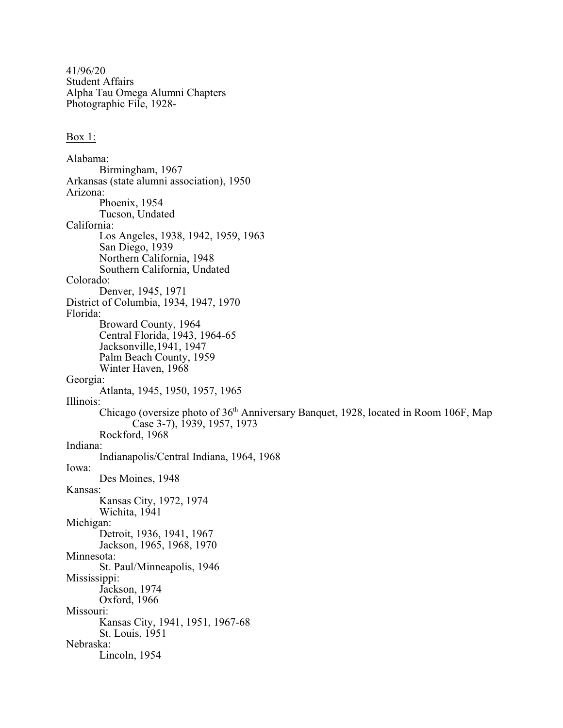41/96/20 Student Affairs Alpha Tau Omega Alumni Chapters Photographic File, 1928-

## Box 1:

Alabama: Birmingham, 1967 Arkansas (state alumni association), 1950 Arizona: Phoenix, 1954 Tucson, Undated California: Los Angeles, 1938, 1942, 1959, 1963 San Diego, 1939 Northern California, 1948 Southern California, Undated Colorado: Denver, 1945, 1971 District of Columbia, 1934, 1947, 1970 Florida: Broward County, 1964 Central Florida, 1943, 1964-65 Jacksonville,1941, 1947 Palm Beach County, 1959 Winter Haven, 1968 Georgia: Atlanta, 1945, 1950, 1957, 1965 Illinois: Chicago (oversize photo of 36<sup>th</sup> Anniversary Banquet, 1928, located in Room 106F, Map Case 3-7), 1939, 1957, 1973 Rockford, 1968 Indiana: Indianapolis/Central Indiana, 1964, 1968 Iowa: Des Moines, 1948 Kansas: Kansas City, 1972, 1974 Wichita, 1941 Michigan: Detroit, 1936, 1941, 1967 Jackson, 1965, 1968, 1970 Minnesota: St. Paul/Minneapolis, 1946 Mississippi: Jackson, 1974 Oxford, 1966 Missouri: Kansas City, 1941, 1951, 1967-68 St. Louis, 1951 Nebraska: Lincoln, 1954